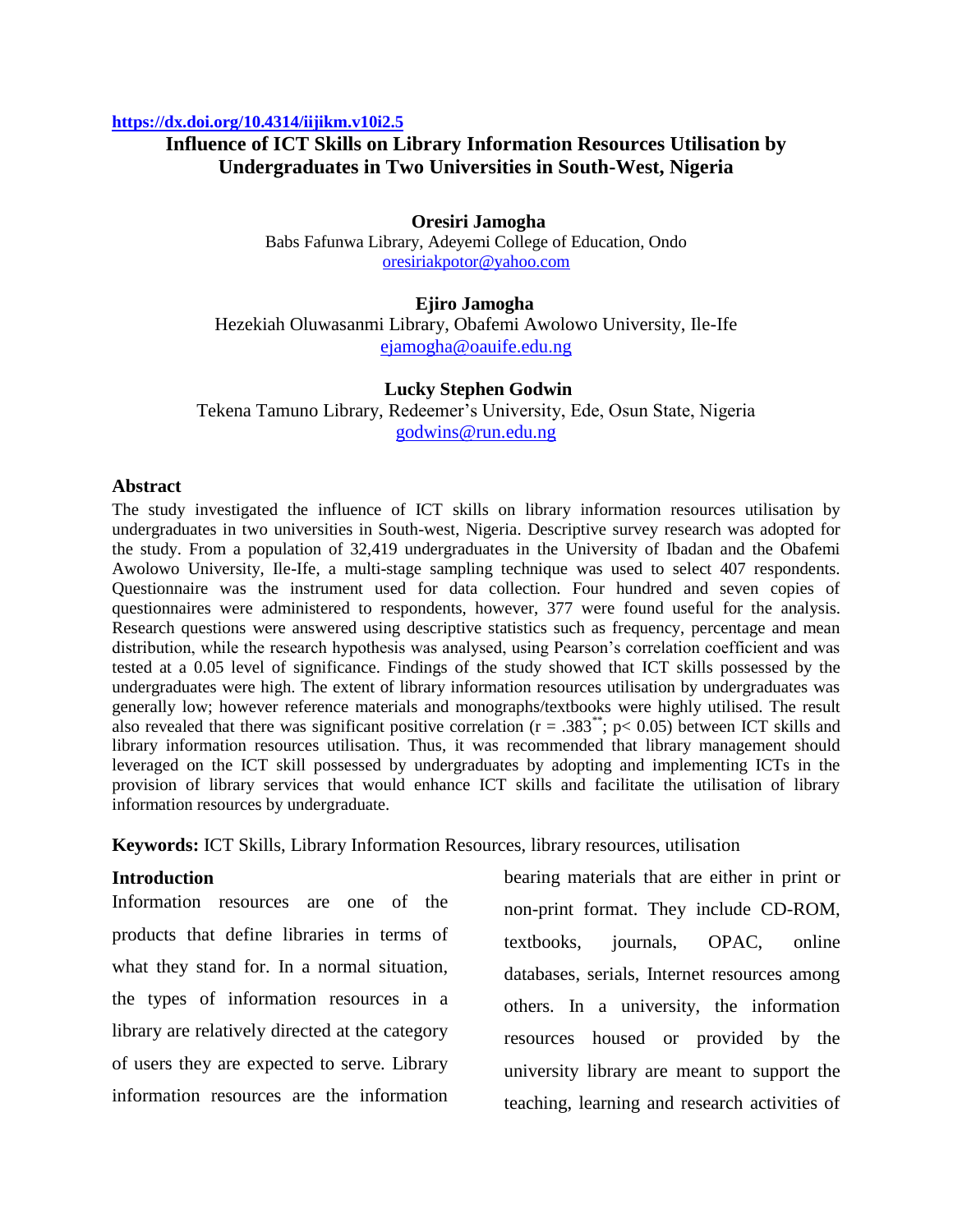#### **<https://dx.doi.org/10.4314/iijikm.v10i2.5>**

## **Influence of ICT Skills on Library Information Resources Utilisation by Undergraduates in Two Universities in South-West, Nigeria**

### **Oresiri Jamogha**

Babs Fafunwa Library, Adeyemi College of Education, Ondo [oresiriakpotor@yahoo.com](mailto:oresiriakpotor@yahoo.com)

#### **Ejiro Jamogha**

Hezekiah Oluwasanmi Library, Obafemi Awolowo University, Ile-Ife [ejamogha@oauife.edu.ng](mailto:ejamogha@oauife.edu.ng)

#### **Lucky Stephen Godwin**

Tekena Tamuno Library, Redeemer's University, Ede, Osun State, Nigeria [godwins@run.edu.ng](mailto:godwins@run.edu.ng)

### **Abstract**

The study investigated the influence of ICT skills on library information resources utilisation by undergraduates in two universities in South-west, Nigeria. Descriptive survey research was adopted for the study. From a population of 32,419 undergraduates in the University of Ibadan and the Obafemi Awolowo University, Ile-Ife, a multi-stage sampling technique was used to select 407 respondents. Questionnaire was the instrument used for data collection. Four hundred and seven copies of questionnaires were administered to respondents, however, 377 were found useful for the analysis. Research questions were answered using descriptive statistics such as frequency, percentage and mean distribution, while the research hypothesis was analysed, using Pearson's correlation coefficient and was tested at a 0.05 level of significance. Findings of the study showed that ICT skills possessed by the undergraduates were high. The extent of library information resources utilisation by undergraduates was generally low; however reference materials and monographs/textbooks were highly utilised. The result also revealed that there was significant positive correlation ( $r = .383^*$ ; p< 0.05) between ICT skills and library information resources utilisation. Thus, it was recommended that library management should leveraged on the ICT skill possessed by undergraduates by adopting and implementing ICTs in the provision of library services that would enhance ICT skills and facilitate the utilisation of library information resources by undergraduate.

**Keywords:** ICT Skills, Library Information Resources, library resources, utilisation

#### **Introduction**

Information resources are one of the products that define libraries in terms of what they stand for. In a normal situation, the types of information resources in a library are relatively directed at the category of users they are expected to serve. Library information resources are the information

bearing materials that are either in print or non-print format. They include CD-ROM, textbooks, journals, OPAC, online databases, serials, Internet resources among others. In a university, the information resources housed or provided by the university library are meant to support the teaching, learning and research activities of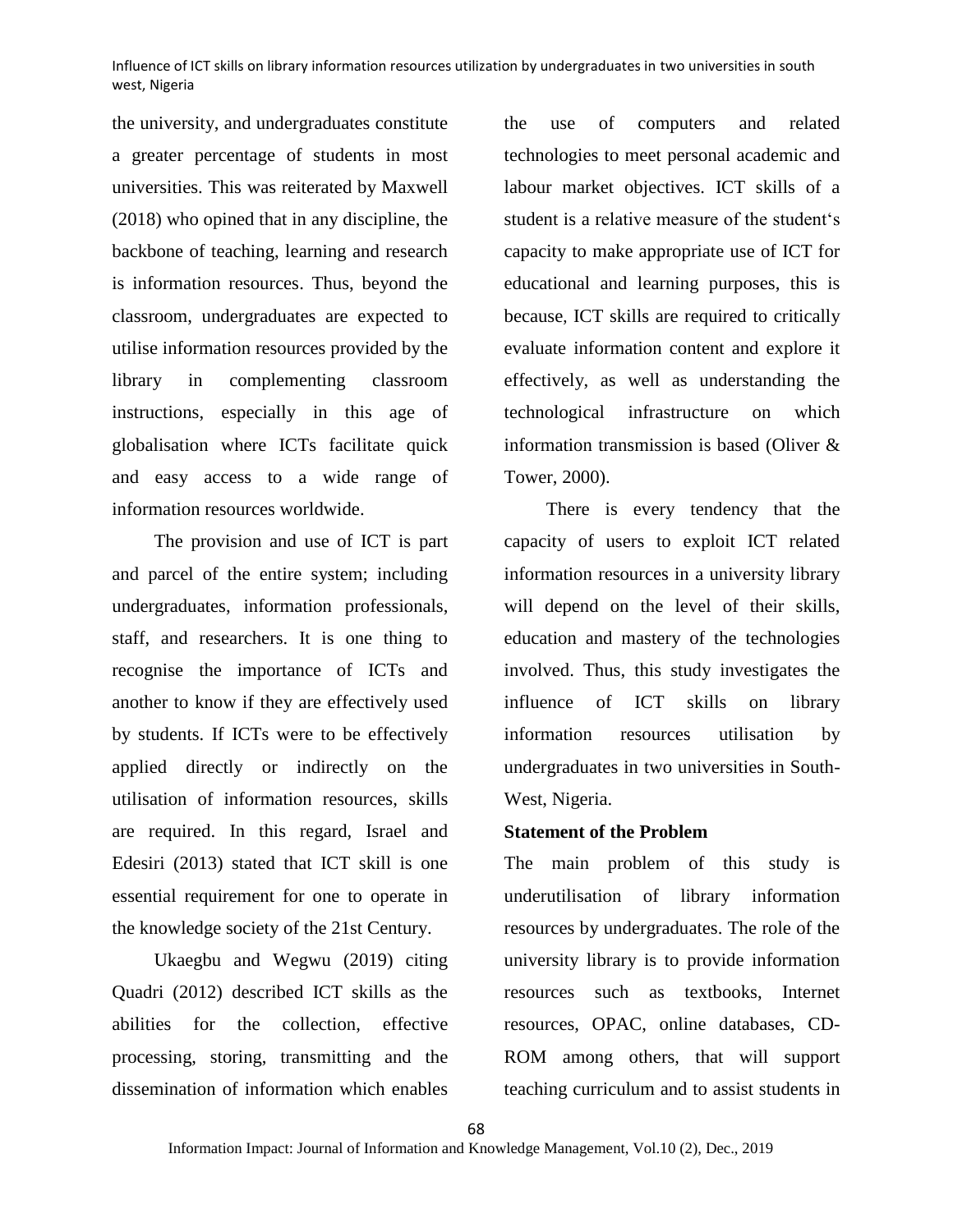the university, and undergraduates constitute a greater percentage of students in most universities. This was reiterated by Maxwell (2018) who opined that in any discipline, the backbone of teaching, learning and research is information resources. Thus, beyond the classroom, undergraduates are expected to utilise information resources provided by the library in complementing classroom instructions, especially in this age of globalisation where ICTs facilitate quick and easy access to a wide range of information resources worldwide.

The provision and use of ICT is part and parcel of the entire system; including undergraduates, information professionals, staff, and researchers. It is one thing to recognise the importance of ICTs and another to know if they are effectively used by students. If ICTs were to be effectively applied directly or indirectly on the utilisation of information resources, skills are required. In this regard, Israel and Edesiri (2013) stated that ICT skill is one essential requirement for one to operate in the knowledge society of the 21st Century.

Ukaegbu and Wegwu (2019) citing Quadri (2012) described ICT skills as the abilities for the collection, effective processing, storing, transmitting and the dissemination of information which enables the use of computers and related technologies to meet personal academic and labour market objectives. ICT skills of a student is a relative measure of the student's capacity to make appropriate use of ICT for educational and learning purposes, this is because, ICT skills are required to critically evaluate information content and explore it effectively, as well as understanding the technological infrastructure on which information transmission is based (Oliver & Tower, 2000).

There is every tendency that the capacity of users to exploit ICT related information resources in a university library will depend on the level of their skills, education and mastery of the technologies involved. Thus, this study investigates the influence of ICT skills on library information resources utilisation by undergraduates in two universities in South-West, Nigeria.

## **Statement of the Problem**

The main problem of this study is underutilisation of library information resources by undergraduates. The role of the university library is to provide information resources such as textbooks, Internet resources, OPAC, online databases, CD-ROM among others, that will support teaching curriculum and to assist students in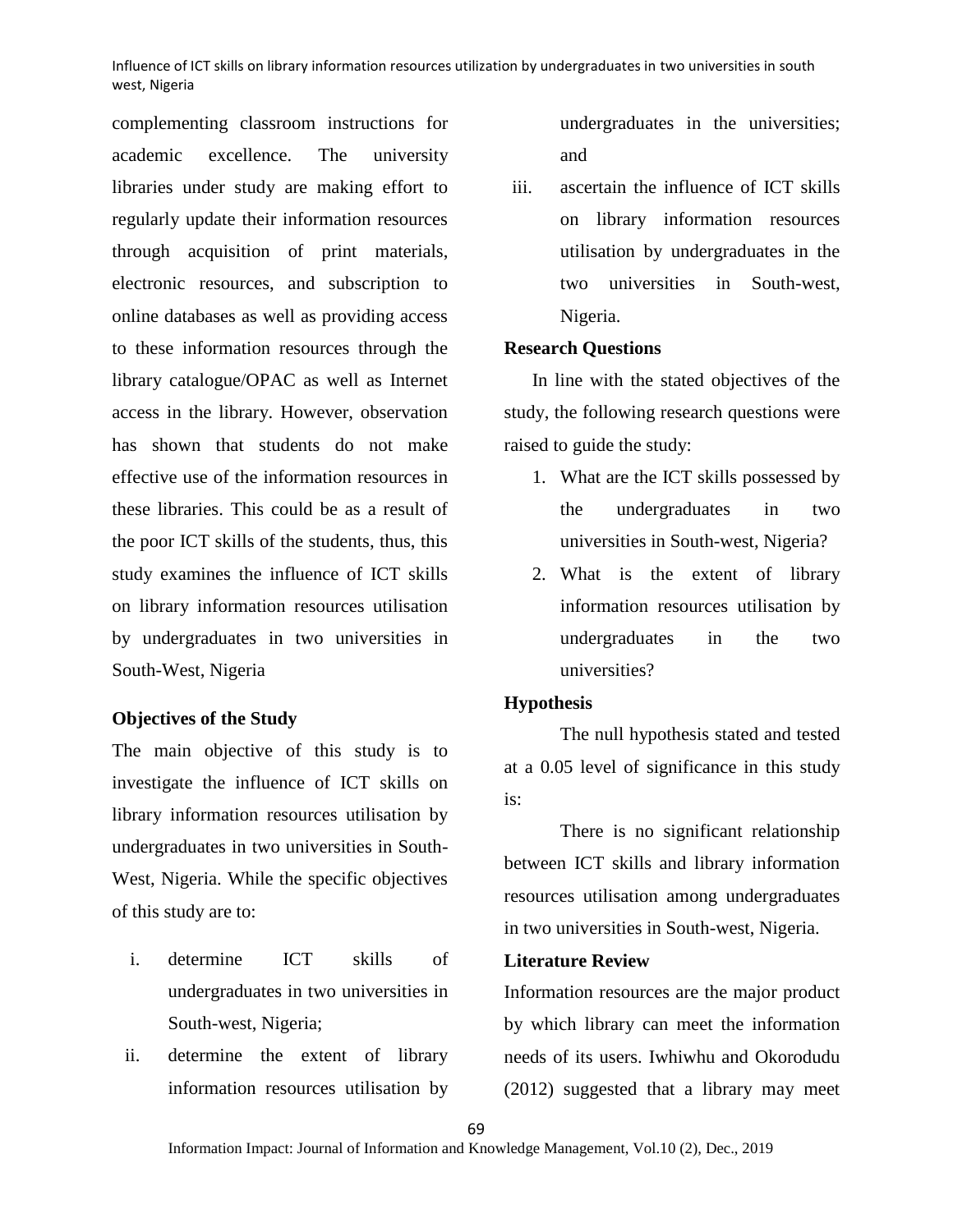complementing classroom instructions for academic excellence. The university libraries under study are making effort to regularly update their information resources through acquisition of print materials, electronic resources, and subscription to online databases as well as providing access to these information resources through the library catalogue/OPAC as well as Internet access in the library. However, observation has shown that students do not make effective use of the information resources in these libraries. This could be as a result of the poor ICT skills of the students, thus, this study examines the influence of ICT skills on library information resources utilisation by undergraduates in two universities in South-West, Nigeria

## **Objectives of the Study**

The main objective of this study is to investigate the influence of ICT skills on library information resources utilisation by undergraduates in two universities in South-West, Nigeria. While the specific objectives of this study are to:

- i. determine ICT skills of undergraduates in two universities in South-west, Nigeria;
- ii. determine the extent of library information resources utilisation by

undergraduates in the universities; and

iii. ascertain the influence of ICT skills on library information resources utilisation by undergraduates in the two universities in South-west, Nigeria.

#### **Research Questions**

In line with the stated objectives of the study, the following research questions were raised to guide the study:

- 1. What are the ICT skills possessed by the undergraduates in two universities in South-west, Nigeria?
- 2. What is the extent of library information resources utilisation by undergraduates in the two universities?

#### **Hypothesis**

The null hypothesis stated and tested at a 0.05 level of significance in this study is:

There is no significant relationship between ICT skills and library information resources utilisation among undergraduates in two universities in South-west, Nigeria.

## **Literature Review**

Information resources are the major product by which library can meet the information needs of its users. Iwhiwhu and Okorodudu (2012) suggested that a library may meet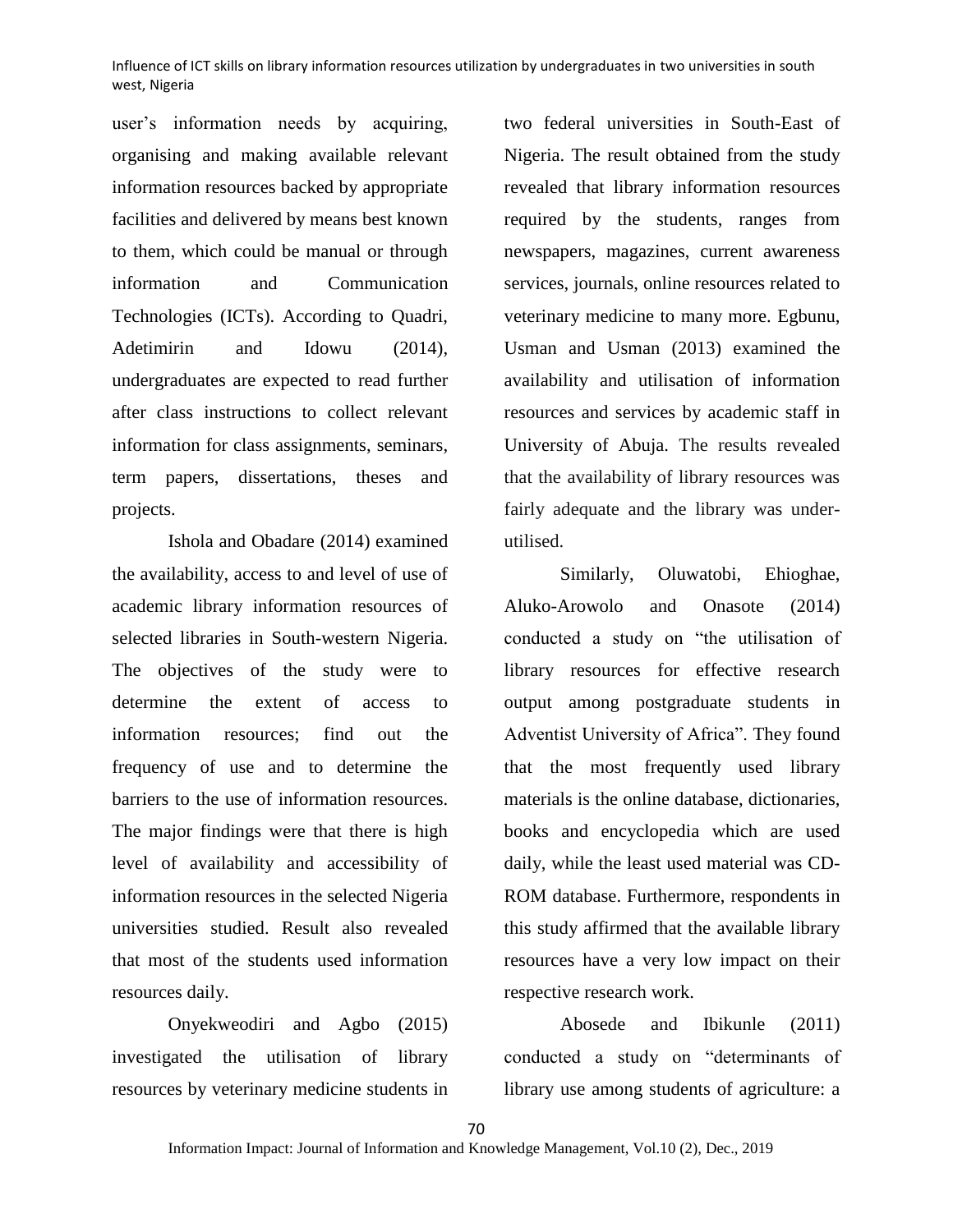user's information needs by acquiring, organising and making available relevant information resources backed by appropriate facilities and delivered by means best known to them, which could be manual or through information and Communication Technologies (ICTs). According to Quadri, Adetimirin and Idowu (2014), undergraduates are expected to read further after class instructions to collect relevant information for class assignments, seminars, term papers, dissertations, theses and projects.

Ishola and Obadare (2014) examined the availability, access to and level of use of academic library information resources of selected libraries in South-western Nigeria. The objectives of the study were to determine the extent of access to information resources; find out the frequency of use and to determine the barriers to the use of information resources. The major findings were that there is high level of availability and accessibility of information resources in the selected Nigeria universities studied. Result also revealed that most of the students used information resources daily.

Onyekweodiri and Agbo (2015) investigated the utilisation of library resources by veterinary medicine students in

two federal universities in South-East of Nigeria. The result obtained from the study revealed that library information resources required by the students, ranges from newspapers, magazines, current awareness services, journals, online resources related to veterinary medicine to many more. Egbunu, Usman and Usman (2013) examined the availability and utilisation of information resources and services by academic staff in University of Abuja. The results revealed that the availability of library resources was fairly adequate and the library was underutilised.

Similarly, Oluwatobi, Ehioghae, Aluko-Arowolo and Onasote (2014) conducted a study on "the utilisation of library resources for effective research output among postgraduate students in Adventist University of Africa". They found that the most frequently used library materials is the online database, dictionaries, books and encyclopedia which are used daily, while the least used material was CD-ROM database. Furthermore, respondents in this study affirmed that the available library resources have a very low impact on their respective research work.

Abosede and Ibikunle (2011) conducted a study on "determinants of library use among students of agriculture: a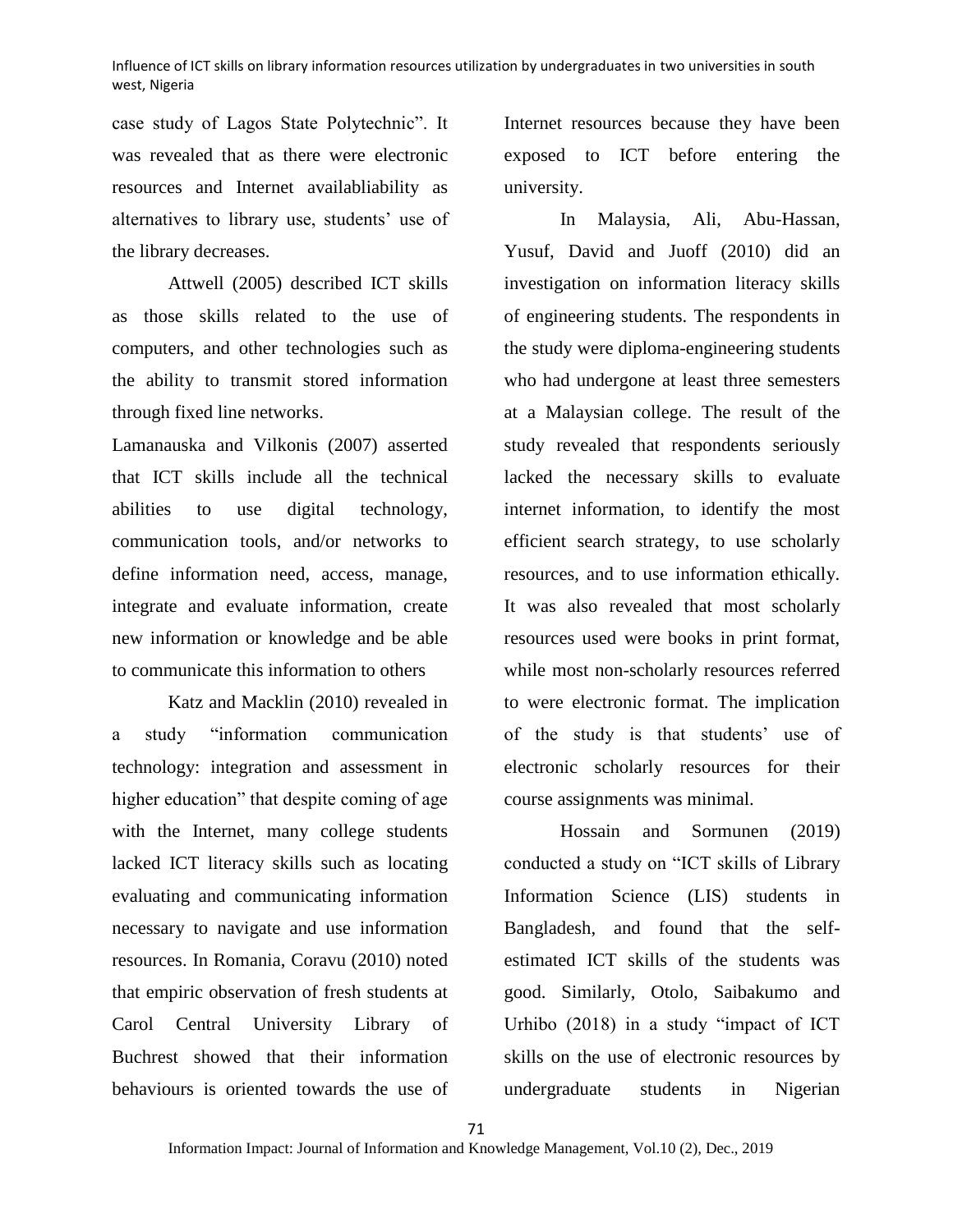case study of Lagos State Polytechnic". It was revealed that as there were electronic resources and Internet availabliability as alternatives to library use, students' use of the library decreases.

Attwell (2005) described ICT skills as those skills related to the use of computers, and other technologies such as the ability to transmit stored information through fixed line networks.

Lamanauska and Vilkonis (2007) asserted that ICT skills include all the technical abilities to use digital technology, communication tools, and/or networks to define information need, access, manage, integrate and evaluate information, create new information or knowledge and be able to communicate this information to others

Katz and Macklin (2010) revealed in a study "information communication technology: integration and assessment in higher education" that despite coming of age with the Internet, many college students lacked ICT literacy skills such as locating evaluating and communicating information necessary to navigate and use information resources. In Romania, Coravu (2010) noted that empiric observation of fresh students at Carol Central University Library of Buchrest showed that their information behaviours is oriented towards the use of

Internet resources because they have been exposed to ICT before entering the university.

In Malaysia, Ali, Abu-Hassan, Yusuf, David and Juoff (2010) did an investigation on information literacy skills of engineering students. The respondents in the study were diploma-engineering students who had undergone at least three semesters at a Malaysian college. The result of the study revealed that respondents seriously lacked the necessary skills to evaluate internet information, to identify the most efficient search strategy, to use scholarly resources, and to use information ethically. It was also revealed that most scholarly resources used were books in print format, while most non-scholarly resources referred to were electronic format. The implication of the study is that students' use of electronic scholarly resources for their course assignments was minimal.

Hossain and Sormunen (2019) conducted a study on "ICT skills of Library Information Science (LIS) students in Bangladesh, and found that the selfestimated ICT skills of the students was good. Similarly, Otolo, Saibakumo and Urhibo (2018) in a study "impact of ICT skills on the use of electronic resources by undergraduate students in Nigerian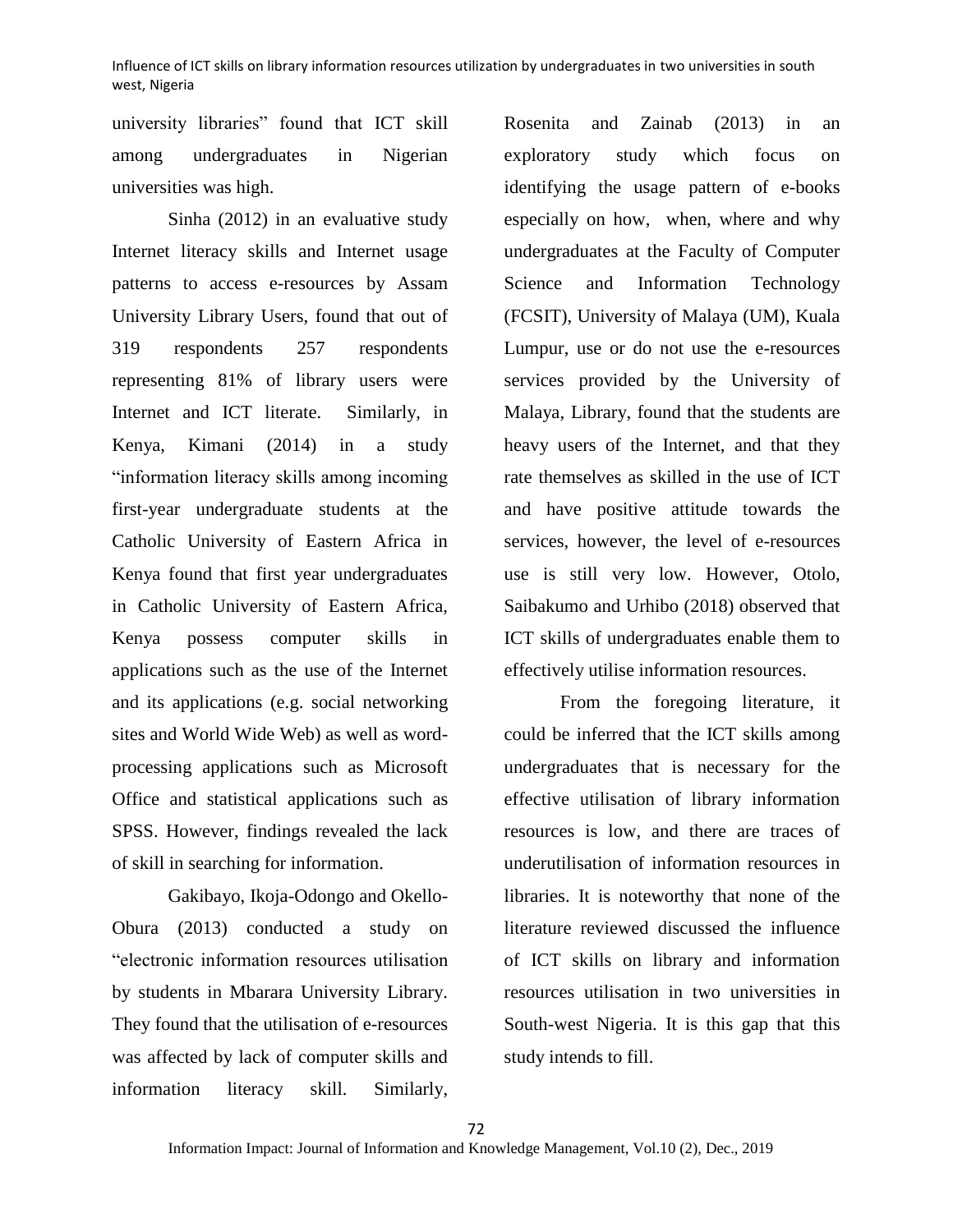university libraries" found that ICT skill among undergraduates in Nigerian universities was high.

Sinha (2012) in an evaluative study Internet literacy skills and Internet usage patterns to access e-resources by Assam University Library Users, found that out of 319 respondents 257 respondents representing 81% of library users were Internet and ICT literate. Similarly, in Kenya, Kimani (2014) in a study "information literacy skills among incoming first-year undergraduate students at the Catholic University of Eastern Africa in Kenya found that first year undergraduates in Catholic University of Eastern Africa, Kenya possess computer skills in applications such as the use of the Internet and its applications (e.g. social networking sites and World Wide Web) as well as wordprocessing applications such as Microsoft Office and statistical applications such as SPSS. However, findings revealed the lack of skill in searching for information.

Gakibayo, Ikoja-Odongo and Okello-Obura (2013) conducted a study on "electronic information resources utilisation by students in Mbarara University Library. They found that the utilisation of e-resources was affected by lack of computer skills and information literacy skill. Similarly,

Rosenita and Zainab (2013) in an exploratory study which focus on identifying the usage pattern of e-books especially on how, when, where and why undergraduates at the Faculty of Computer Science and Information Technology (FCSIT), University of Malaya (UM), Kuala Lumpur, use or do not use the e-resources services provided by the University of Malaya, Library, found that the students are heavy users of the Internet, and that they rate themselves as skilled in the use of ICT and have positive attitude towards the services, however, the level of e-resources use is still very low. However, Otolo, Saibakumo and Urhibo (2018) observed that ICT skills of undergraduates enable them to effectively utilise information resources.

From the foregoing literature, it could be inferred that the ICT skills among undergraduates that is necessary for the effective utilisation of library information resources is low, and there are traces of underutilisation of information resources in libraries. It is noteworthy that none of the literature reviewed discussed the influence of ICT skills on library and information resources utilisation in two universities in South-west Nigeria. It is this gap that this study intends to fill.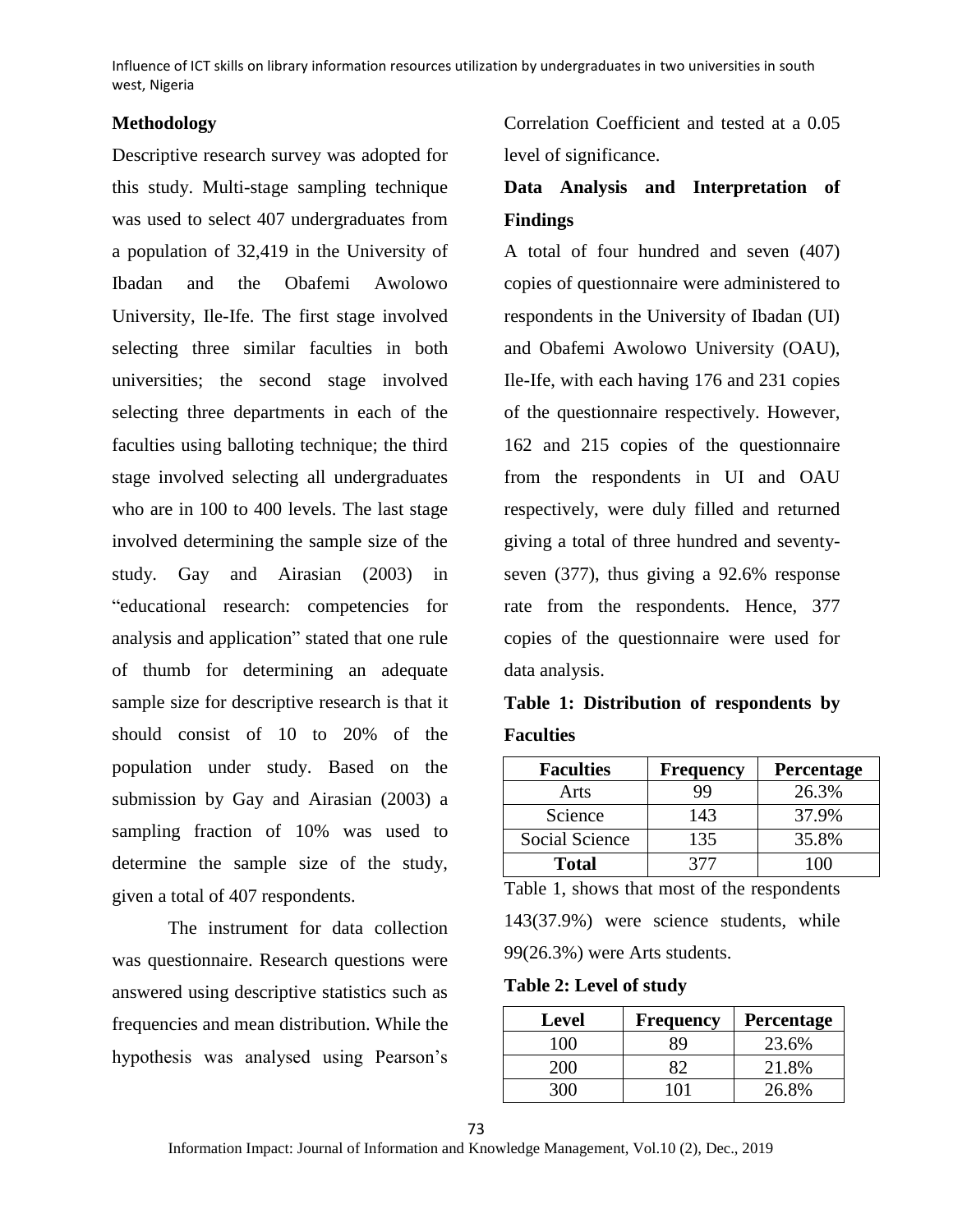## **Methodology**

Descriptive research survey was adopted for this study. Multi-stage sampling technique was used to select 407 undergraduates from a population of 32,419 in the University of Ibadan and the Obafemi Awolowo University, Ile-Ife. The first stage involved selecting three similar faculties in both universities; the second stage involved selecting three departments in each of the faculties using balloting technique; the third stage involved selecting all undergraduates who are in 100 to 400 levels. The last stage involved determining the sample size of the study. Gay and Airasian (2003) in "educational research: competencies for analysis and application" stated that one rule of thumb for determining an adequate sample size for descriptive research is that it should consist of 10 to 20% of the population under study. Based on the submission by Gay and Airasian (2003) a sampling fraction of 10% was used to determine the sample size of the study, given a total of 407 respondents.

The instrument for data collection was questionnaire. Research questions were answered using descriptive statistics such as frequencies and mean distribution. While the hypothesis was analysed using Pearson's

Correlation Coefficient and tested at a 0.05 level of significance.

# **Data Analysis and Interpretation of Findings**

A total of four hundred and seven (407) copies of questionnaire were administered to respondents in the University of Ibadan (UI) and Obafemi Awolowo University (OAU), Ile-Ife, with each having 176 and 231 copies of the questionnaire respectively. However, 162 and 215 copies of the questionnaire from the respondents in UI and OAU respectively, were duly filled and returned giving a total of three hundred and seventyseven (377), thus giving a 92.6% response rate from the respondents. Hence, 377 copies of the questionnaire were used for data analysis.

# **Table 1: Distribution of respondents by Faculties**

| <b>Faculties</b> | <b>Frequency</b> | Percentage |
|------------------|------------------|------------|
| Arts             | 99               | 26.3%      |
| Science          | 143              | 37.9%      |
| Social Science   | 135              | 35.8%      |
| <b>Total</b>     | 377              |            |

Table 1, shows that most of the respondents 143(37.9%) were science students, while 99(26.3%) were Arts students.

**Table 2: Level of study**

| Level | <b>Frequency</b> | <b>Percentage</b> |
|-------|------------------|-------------------|
| 100   | RQ               | 23.6%             |
| 200   | Q೧               | 21.8%             |
|       |                  | 26.8%             |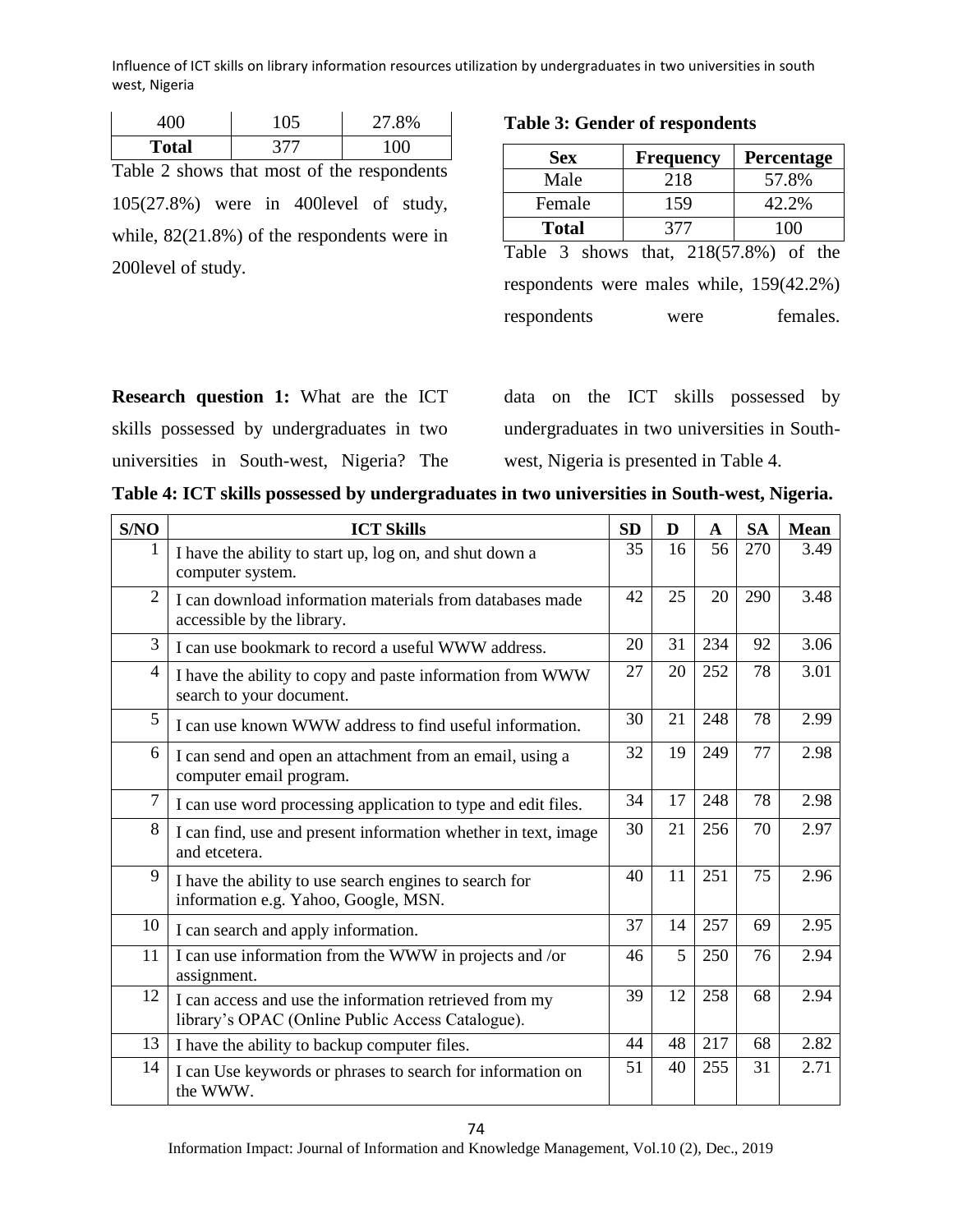| K            |     | 27.8% |  |  |
|--------------|-----|-------|--|--|
| <b>Total</b> | 277 | ΩŒ    |  |  |

Table 2 shows that most of the respondents 105(27.8%) were in 400level of study, while, 82(21.8%) of the respondents were in 200level of study.

## **Table 3: Gender of respondents**

| <b>Sex</b>                               | <b>Frequency</b> | Percentage |  |  |  |  |  |  |  |
|------------------------------------------|------------------|------------|--|--|--|--|--|--|--|
| Male                                     | 218              | 57.8%      |  |  |  |  |  |  |  |
| Female                                   | 159              | 42.2%      |  |  |  |  |  |  |  |
| <b>Total</b>                             | 377              | 100        |  |  |  |  |  |  |  |
| Table 3 shows that, $218(57.8%)$ of the  |                  |            |  |  |  |  |  |  |  |
| respondents were males while, 159(42.2%) |                  |            |  |  |  |  |  |  |  |

respondents were females.

**Research question 1:** What are the ICT skills possessed by undergraduates in two universities in South-west, Nigeria? The data on the ICT skills possessed by undergraduates in two universities in Southwest, Nigeria is presented in Table 4.

| Table 4: ICT skills possessed by undergraduates in two universities in South-west, Nigeria. |  |  |  |
|---------------------------------------------------------------------------------------------|--|--|--|
|                                                                                             |  |  |  |

| S/NO           | <b>ICT Skills</b>                                                                                          | <b>SD</b> | D  | $\mathbf A$ | <b>SA</b> | Mean |
|----------------|------------------------------------------------------------------------------------------------------------|-----------|----|-------------|-----------|------|
|                | I have the ability to start up, log on, and shut down a<br>computer system.                                | 35        | 16 | 56          | 270       | 3.49 |
| $\overline{2}$ | I can download information materials from databases made<br>accessible by the library.                     | 42        | 25 | 20          | 290       | 3.48 |
| 3              | I can use bookmark to record a useful WWW address.                                                         | 20        | 31 | 234         | 92        | 3.06 |
| 4              | I have the ability to copy and paste information from WWW<br>search to your document.                      | 27        | 20 | 252         | 78        | 3.01 |
| 5              | I can use known WWW address to find useful information.                                                    | 30        | 21 | 248         | 78        | 2.99 |
| 6              | I can send and open an attachment from an email, using a<br>computer email program.                        |           | 19 | 249         | 77        | 2.98 |
| $\overline{7}$ | I can use word processing application to type and edit files.                                              | 34        | 17 | 248         | 78        | 2.98 |
| 8              | I can find, use and present information whether in text, image<br>and etcetera.                            | 30        | 21 | 256         | 70        | 2.97 |
| 9              | I have the ability to use search engines to search for<br>information e.g. Yahoo, Google, MSN.             | 40        | 11 | 251         | 75        | 2.96 |
| 10             | I can search and apply information.                                                                        | 37        | 14 | 257         | 69        | 2.95 |
| 11             | I can use information from the WWW in projects and /or<br>assignment.                                      | 46        | 5  | 250         | 76        | 2.94 |
| 12             | I can access and use the information retrieved from my<br>library's OPAC (Online Public Access Catalogue). | 39        | 12 | 258         | 68        | 2.94 |
| 13             | I have the ability to backup computer files.                                                               | 44        | 48 | 217         | 68        | 2.82 |
| 14             | I can Use keywords or phrases to search for information on<br>the WWW.                                     | 51        | 40 | 255         | 31        | 2.71 |

Information Impact: Journal of Information and Knowledge Management, Vol.10 (2), Dec., 2019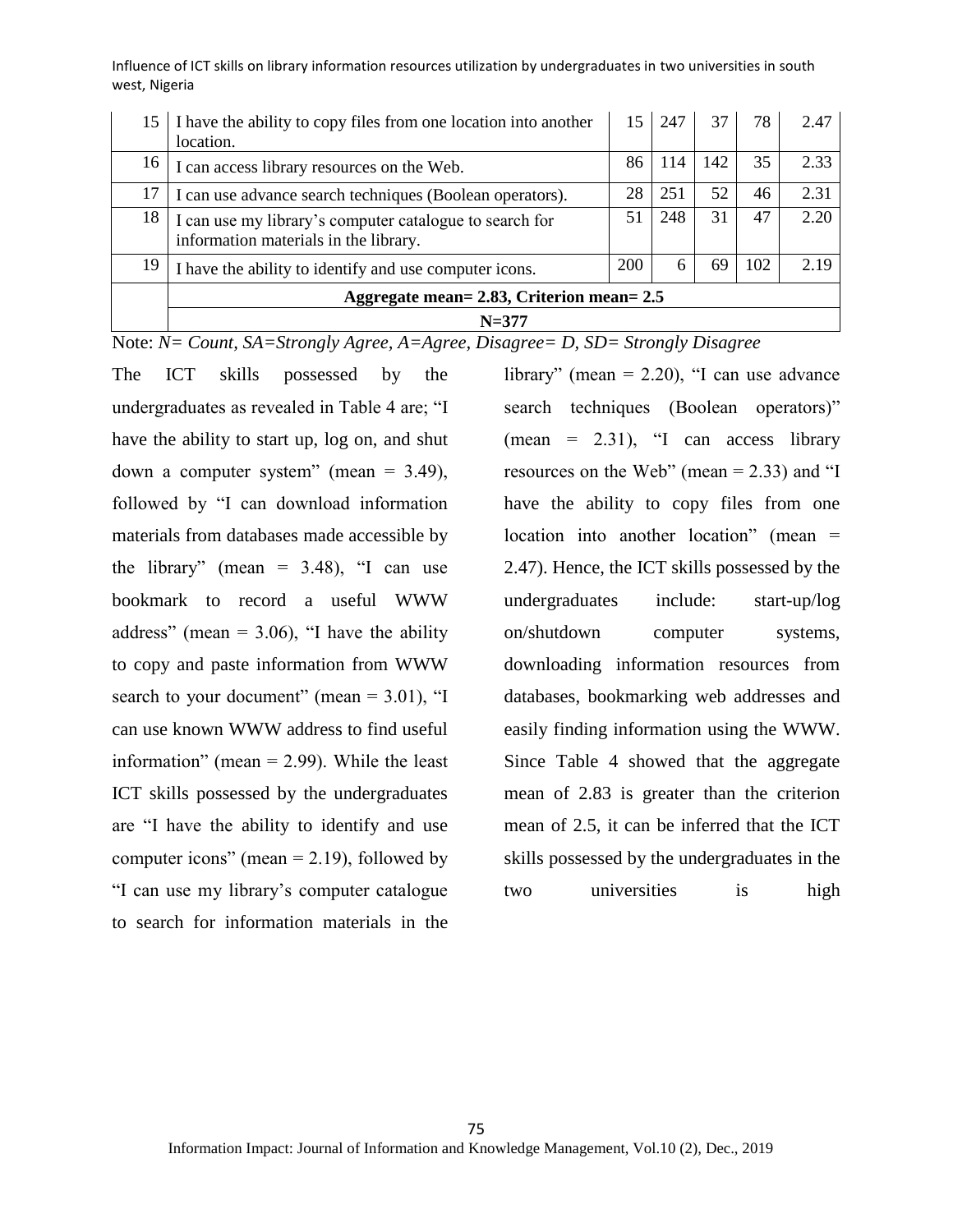| 15 | I have the ability to copy files from one location into another<br>location.                     | 15  | 247 | 37  | 78  | 2.47 |  |  |
|----|--------------------------------------------------------------------------------------------------|-----|-----|-----|-----|------|--|--|
| 16 | I can access library resources on the Web.                                                       | 86  | 114 | 142 | 35  | 2.33 |  |  |
| 17 | I can use advance search techniques (Boolean operators).                                         | 28  | 251 | 52  | 46  | 2.31 |  |  |
| 18 | I can use my library's computer catalogue to search for<br>information materials in the library. | 51  | 248 | 31  | 47  | 2.20 |  |  |
| 19 | I have the ability to identify and use computer icons.                                           | 200 | 6   | 69  | 102 | 2.19 |  |  |
|    | Aggregate mean= 2.83, Criterion mean= 2.5                                                        |     |     |     |     |      |  |  |
|    | $N = 377$                                                                                        |     |     |     |     |      |  |  |

Note: *N= Count, SA=Strongly Agree, A=Agree, Disagree= D, SD= Strongly Disagree*

The ICT skills possessed by the undergraduates as revealed in Table 4 are; "I have the ability to start up, log on, and shut down a computer system" (mean  $= 3.49$ ), followed by "I can download information materials from databases made accessible by the library" (mean  $= 3.48$ ), "I can use bookmark to record a useful WWW address" (mean  $= 3.06$ ), "I have the ability to copy and paste information from WWW search to your document" (mean  $= 3.01$ ), "I can use known WWW address to find useful information" (mean = 2.99). While the least ICT skills possessed by the undergraduates are "I have the ability to identify and use computer icons" (mean  $= 2.19$ ), followed by "I can use my library's computer catalogue to search for information materials in the

library" (mean  $= 2.20$ ), "I can use advance search techniques (Boolean operators)"  $(mean = 2.31)$ , "I can access library resources on the Web" (mean  $= 2.33$ ) and "I have the ability to copy files from one location into another location" (mean = 2.47). Hence, the ICT skills possessed by the undergraduates include: start-up/log on/shutdown computer systems, downloading information resources from databases, bookmarking web addresses and easily finding information using the WWW. Since Table 4 showed that the aggregate mean of 2.83 is greater than the criterion mean of 2.5, it can be inferred that the ICT skills possessed by the undergraduates in the two universities is high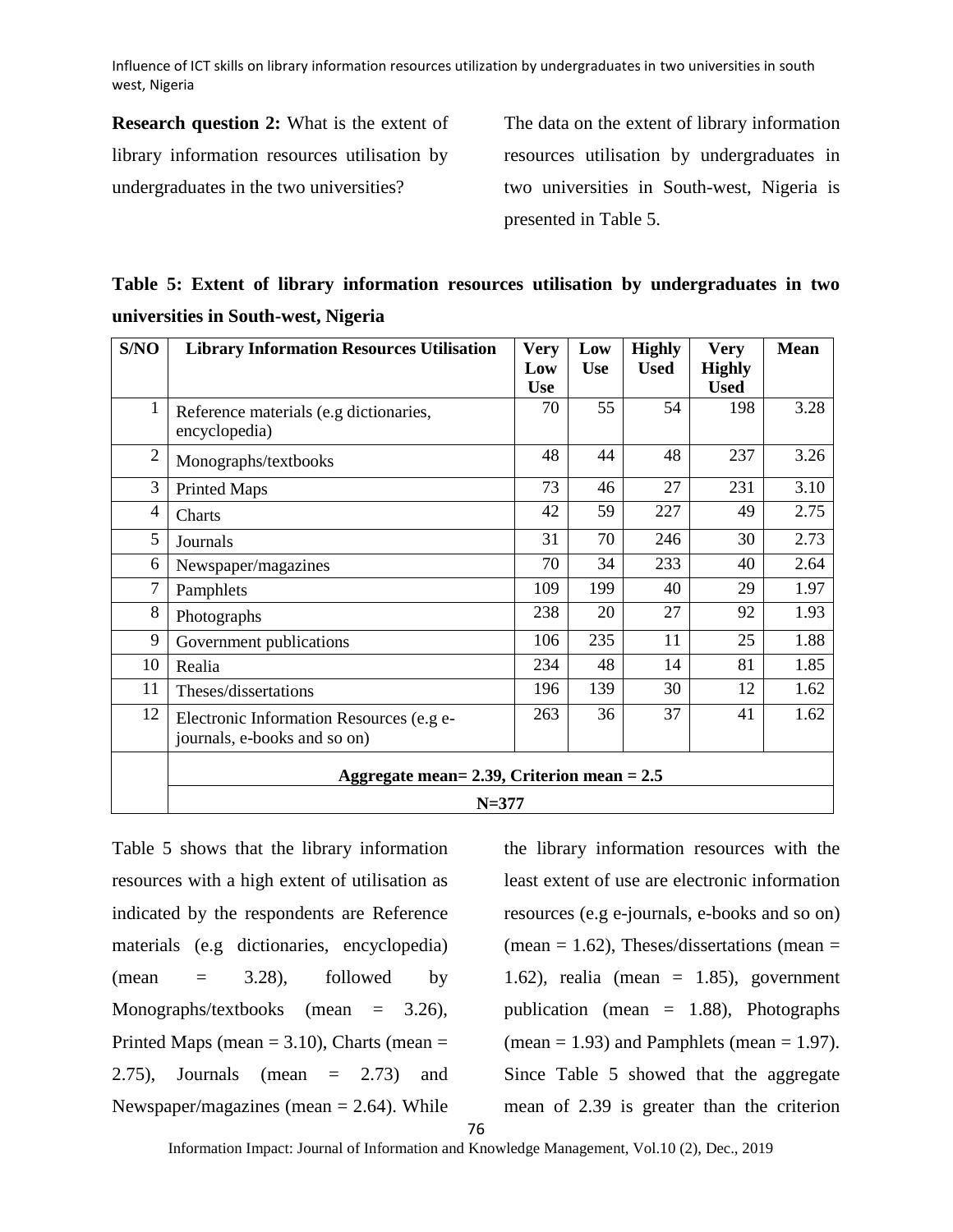**Research question 2:** What is the extent of library information resources utilisation by undergraduates in the two universities?

The data on the extent of library information resources utilisation by undergraduates in two universities in South-west, Nigeria is presented in Table 5.

**Table 5: Extent of library information resources utilisation by undergraduates in two universities in South-west, Nigeria**

| S/NO           | <b>Library Information Resources Utilisation</b>                         | <b>Very</b>       | Low        | <b>Highly</b> | <b>Very</b>                  | <b>Mean</b> |  |  |  |
|----------------|--------------------------------------------------------------------------|-------------------|------------|---------------|------------------------------|-------------|--|--|--|
|                |                                                                          | Low<br><b>Use</b> | <b>Use</b> | <b>Used</b>   | <b>Highly</b><br><b>Used</b> |             |  |  |  |
| $\mathbf{1}$   | Reference materials (e.g dictionaries,<br>encyclopedia)                  | 70                | 55         | 54            | 198                          | 3.28        |  |  |  |
| $\overline{2}$ | Monographs/textbooks                                                     | 48                | 44         | 48            | 237                          | 3.26        |  |  |  |
| 3              | <b>Printed Maps</b>                                                      | 73                | 46         | 27            | 231                          | 3.10        |  |  |  |
| $\overline{4}$ | Charts                                                                   | 42                | 59         | 227           | 49                           | 2.75        |  |  |  |
| 5              | Journals                                                                 | 31                | 70         | 246           | 30                           | 2.73        |  |  |  |
| 6              | Newspaper/magazines                                                      | 70                | 34         | 233           | 40                           | 2.64        |  |  |  |
| $\overline{7}$ | Pamphlets                                                                | 109               | 199        | 40            | 29                           | 1.97        |  |  |  |
| 8              | Photographs                                                              | 238               | 20         | 27            | 92                           | 1.93        |  |  |  |
| 9              | Government publications                                                  | 106               | 235        | 11            | 25                           | 1.88        |  |  |  |
| 10             | Realia                                                                   | 234               | 48         | 14            | 81                           | 1.85        |  |  |  |
| 11             | Theses/dissertations                                                     | 196               | 139        | 30            | 12                           | 1.62        |  |  |  |
| 12             | Electronic Information Resources (e.g e-<br>journals, e-books and so on) | 263               | 36         | 37            | 41                           | 1.62        |  |  |  |
|                | Aggregate mean= 2.39, Criterion mean = $2.5$                             |                   |            |               |                              |             |  |  |  |
|                | $N = 377$                                                                |                   |            |               |                              |             |  |  |  |

Table 5 shows that the library information resources with a high extent of utilisation as indicated by the respondents are Reference materials (e.g dictionaries, encyclopedia)  $(\text{mean} = 3.28)$ , followed by Monographs/textbooks (mean = 3.26), Printed Maps (mean  $= 3.10$ ), Charts (mean  $=$ 2.75), Journals (mean = 2.73) and Newspaper/magazines (mean  $= 2.64$ ). While

the library information resources with the least extent of use are electronic information resources (e.g e-journals, e-books and so on) (mean  $= 1.62$ ), Theses/dissertations (mean  $=$ 1.62), realia (mean  $= 1.85$ ), government publication (mean = 1.88), Photographs (mean  $= 1.93$ ) and Pamphlets (mean  $= 1.97$ ). Since Table 5 showed that the aggregate mean of 2.39 is greater than the criterion

76

Information Impact: Journal of Information and Knowledge Management, Vol.10 (2), Dec., 2019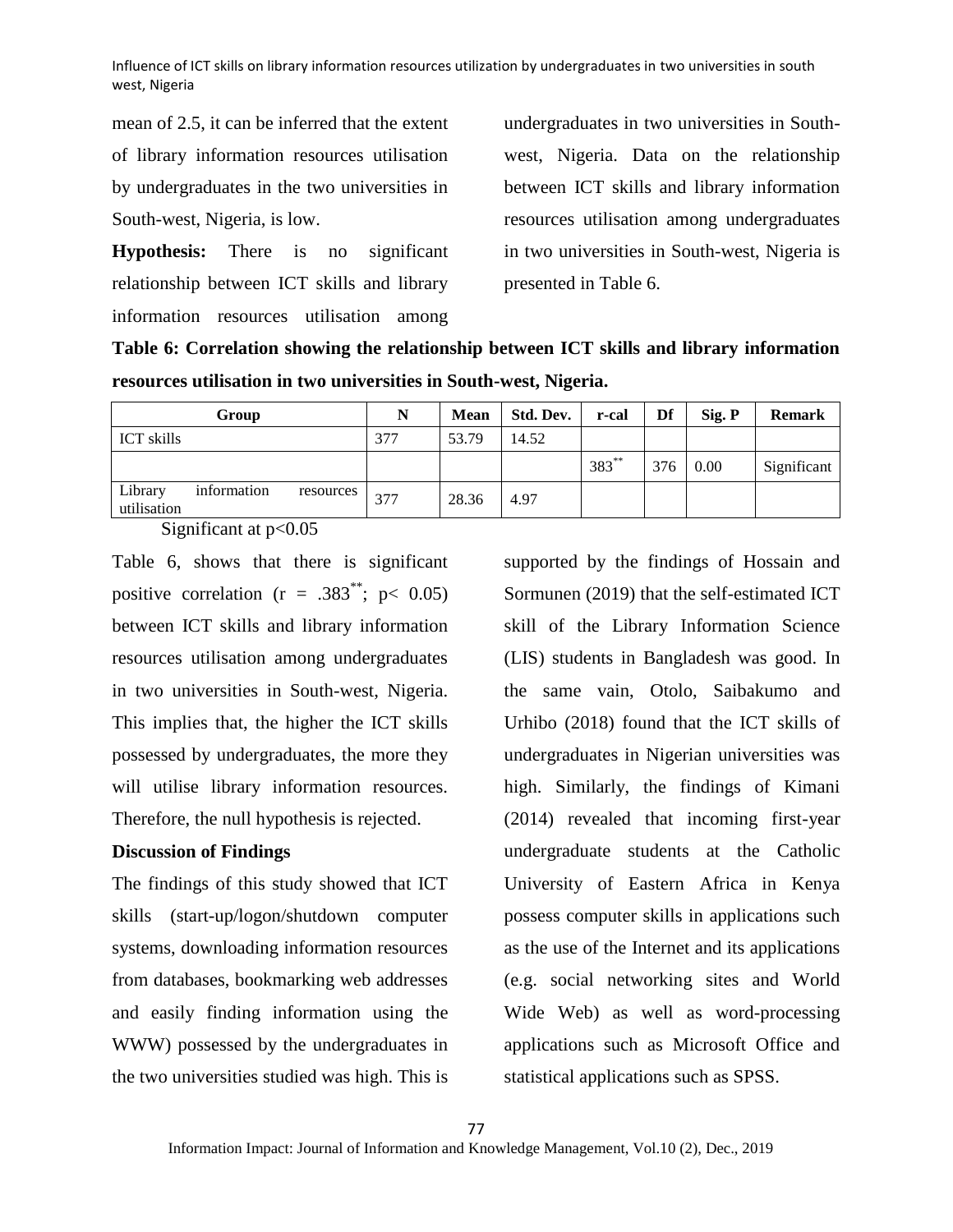mean of 2.5, it can be inferred that the extent of library information resources utilisation by undergraduates in the two universities in South-west, Nigeria, is low.

**Hypothesis:** There is no significant relationship between ICT skills and library information resources utilisation among

undergraduates in two universities in Southwest, Nigeria. Data on the relationship between ICT skills and library information resources utilisation among undergraduates in two universities in South-west, Nigeria is presented in Table 6.

**Table 6: Correlation showing the relationship between ICT skills and library information resources utilisation in two universities in South-west, Nigeria.**

| Group                                              | N   | <b>Mean</b> | Std. Dev. | r-cal     | Df  | Sig. P | <b>Remark</b> |
|----------------------------------------------------|-----|-------------|-----------|-----------|-----|--------|---------------|
| <b>ICT</b> skills                                  | 377 | 53.79       | 14.52     |           |     |        |               |
|                                                    |     |             |           | $1383***$ | 376 | 0.00   | Significant   |
| Library<br>information<br>resources<br>utilisation | 377 | 28.36       | 4.97      |           |     |        |               |

Significant at p<0.05

Table 6, shows that there is significant positive correlation ( $r = .383^{\ast\ast}$ ; p< 0.05) between ICT skills and library information resources utilisation among undergraduates in two universities in South-west, Nigeria. This implies that, the higher the ICT skills possessed by undergraduates, the more they will utilise library information resources. Therefore, the null hypothesis is rejected.

## **Discussion of Findings**

The findings of this study showed that ICT skills (start-up/logon/shutdown computer systems, downloading information resources from databases, bookmarking web addresses and easily finding information using the WWW) possessed by the undergraduates in the two universities studied was high. This is

supported by the findings of Hossain and Sormunen (2019) that the self-estimated ICT skill of the Library Information Science (LIS) students in Bangladesh was good. In the same vain, Otolo, Saibakumo and Urhibo (2018) found that the ICT skills of undergraduates in Nigerian universities was high. Similarly, the findings of Kimani (2014) revealed that incoming first-year undergraduate students at the Catholic University of Eastern Africa in Kenya possess computer skills in applications such as the use of the Internet and its applications (e.g. social networking sites and World Wide Web) as well as word-processing applications such as Microsoft Office and statistical applications such as SPSS.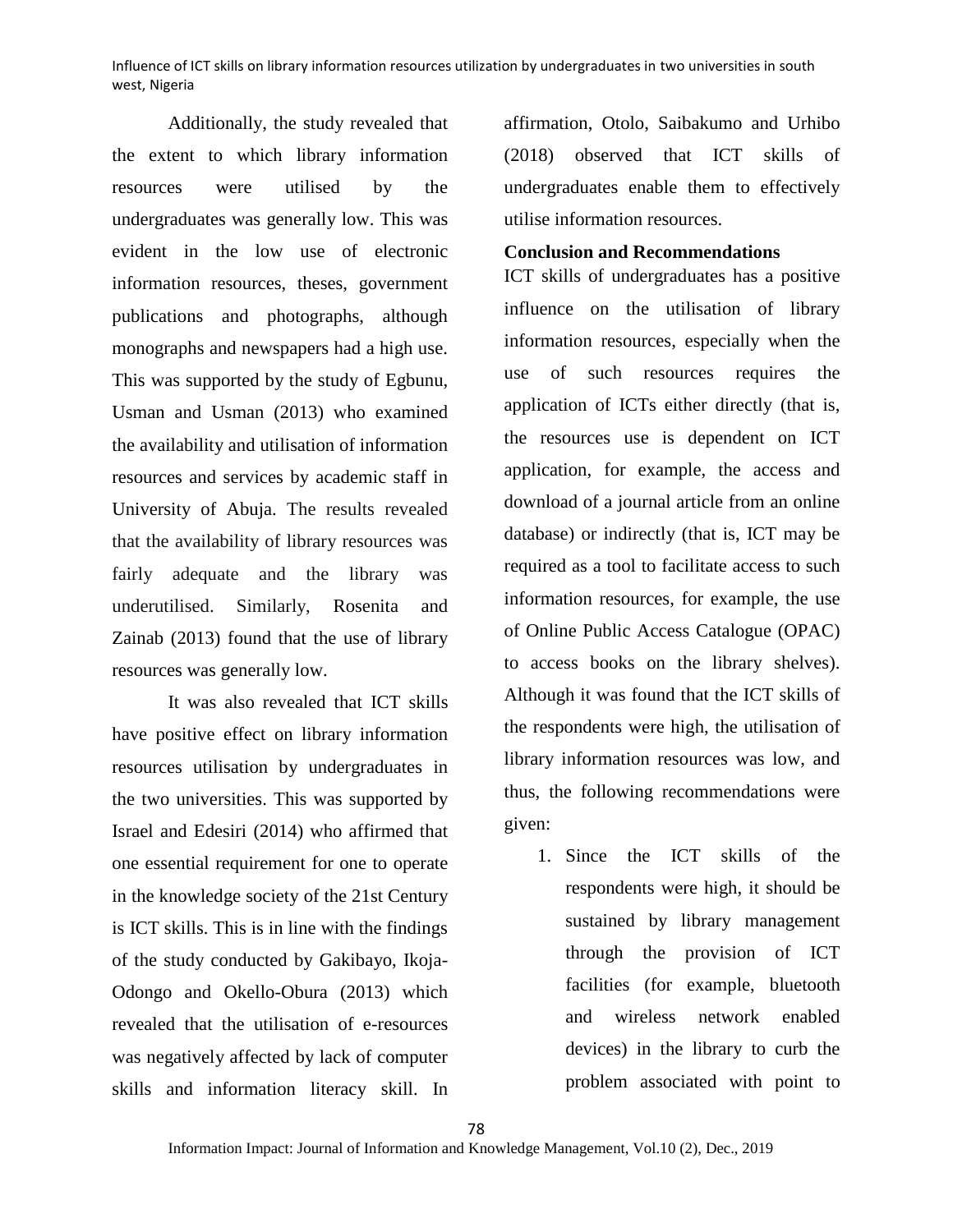Additionally, the study revealed that the extent to which library information resources were utilised by the undergraduates was generally low. This was evident in the low use of electronic information resources, theses, government publications and photographs, although monographs and newspapers had a high use. This was supported by the study of Egbunu, Usman and Usman (2013) who examined the availability and utilisation of information resources and services by academic staff in University of Abuja. The results revealed that the availability of library resources was fairly adequate and the library was underutilised. Similarly, Rosenita and Zainab (2013) found that the use of library resources was generally low.

It was also revealed that ICT skills have positive effect on library information resources utilisation by undergraduates in the two universities. This was supported by Israel and Edesiri (2014) who affirmed that one essential requirement for one to operate in the knowledge society of the 21st Century is ICT skills. This is in line with the findings of the study conducted by Gakibayo, Ikoja-Odongo and Okello-Obura (2013) which revealed that the utilisation of e-resources was negatively affected by lack of computer skills and information literacy skill. In

affirmation, Otolo, Saibakumo and Urhibo (2018) observed that ICT skills of undergraduates enable them to effectively utilise information resources.

## **Conclusion and Recommendations**

ICT skills of undergraduates has a positive influence on the utilisation of library information resources, especially when the use of such resources requires the application of ICTs either directly (that is, the resources use is dependent on ICT application, for example, the access and download of a journal article from an online database) or indirectly (that is, ICT may be required as a tool to facilitate access to such information resources, for example, the use of Online Public Access Catalogue (OPAC) to access books on the library shelves). Although it was found that the ICT skills of the respondents were high, the utilisation of library information resources was low, and thus, the following recommendations were given:

1. Since the ICT skills of the respondents were high, it should be sustained by library management through the provision of ICT facilities (for example, bluetooth and wireless network enabled devices) in the library to curb the problem associated with point to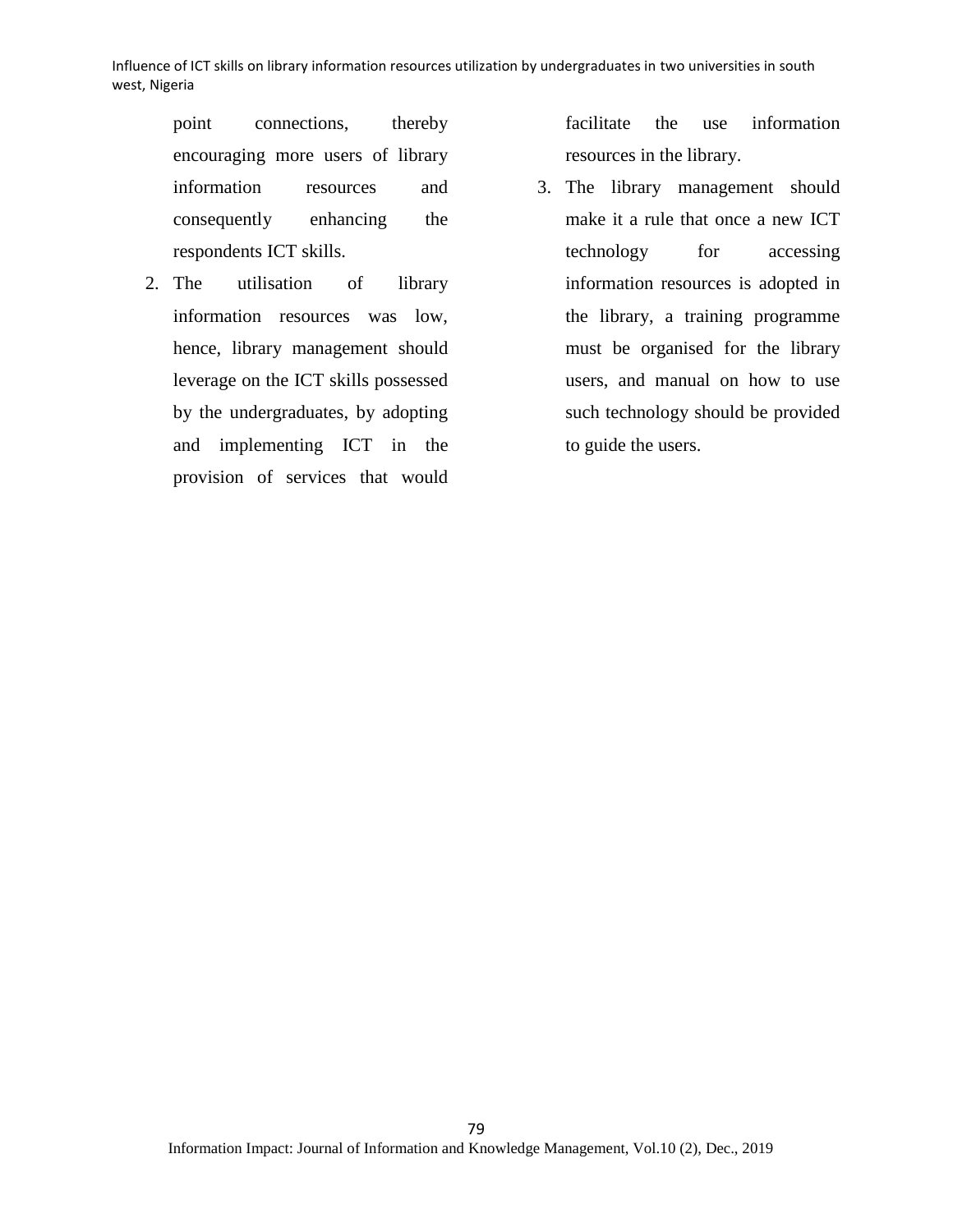point connections, thereby encouraging more users of library information resources and consequently enhancing the respondents ICT skills.

2. The utilisation of library information resources was low, hence, library management should leverage on the ICT skills possessed by the undergraduates, by adopting and implementing ICT in the provision of services that would

facilitate the use information resources in the library.

3. The library management should make it a rule that once a new ICT technology for accessing information resources is adopted in the library, a training programme must be organised for the library users, and manual on how to use such technology should be provided to guide the users.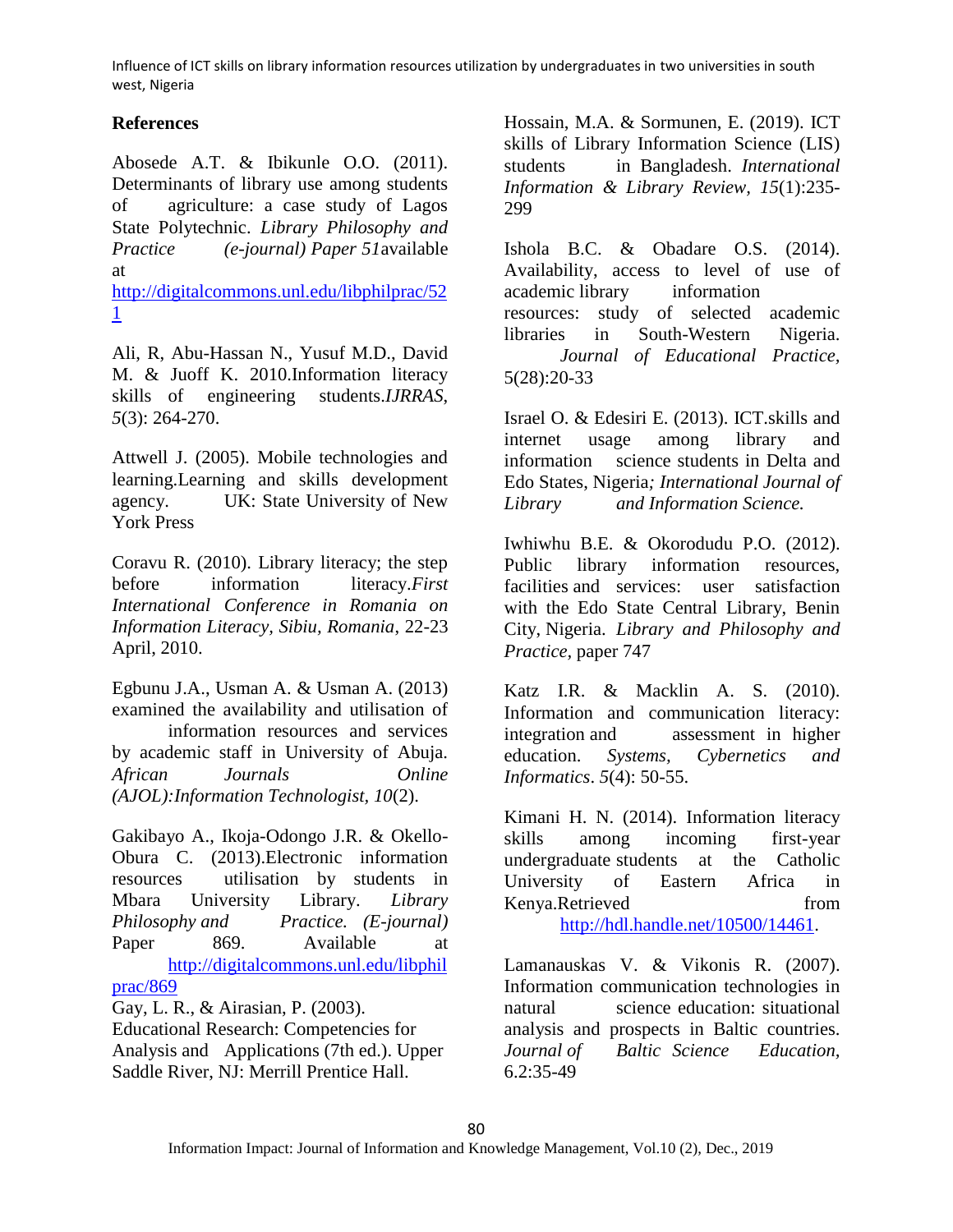# **References**

Abosede A.T. & Ibikunle O.O. (2011). Determinants of library use among students of agriculture: a case study of Lagos State Polytechnic. *Library Philosophy and Practice (e-journal) Paper 51*available at

[http://digitalcommons.unl.edu/libphilprac/52](http://digitalcommons.unl.edu/libphilprac/521) [1](http://digitalcommons.unl.edu/libphilprac/521)

Ali, R, Abu-Hassan N., Yusuf M.D., David M. & Juoff K. 2010.Information literacy skills of engineering students.*IJRRAS*, *5*(3): 264-270.

Attwell J. (2005). Mobile technologies and learning.Learning and skills development agency. UK: State University of New York Press

Coravu R. (2010). Library literacy; the step before information literacy.*First International Conference in Romania on Information Literacy, Sibiu, Romania*, 22-23 April, 2010.

Egbunu J.A., Usman A. & Usman A. (2013) examined the availability and utilisation of information resources and services by academic staff in University of Abuja. *African Journals Online (AJOL):Information Technologist, 10*(2).

Gakibayo A., Ikoja-Odongo J.R. & Okello-Obura C. (2013).Electronic information resources utilisation by students in Mbara University Library. *Library Philosophy and Practice. (E-journal)*  Paper 869. Available at [http://digitalcommons.unl.edu/libphil](http://digitalcommons.unl.edu/libphilprac/869)

[prac/869](http://digitalcommons.unl.edu/libphilprac/869)

Gay, L. R., & Airasian, P. (2003). Educational Research: Competencies for

Analysis and Applications (7th ed.). Upper Saddle River, NJ: Merrill Prentice Hall.

Hossain, M.A. & Sormunen, E. (2019). ICT skills of Library Information Science (LIS) students in Bangladesh. *International Information & Library Review, 15*(1):235- 299

Ishola B.C. & Obadare O.S. (2014). Availability, access to level of use of academic library information resources: study of selected academic libraries in South-Western Nigeria. *Journal of Educational Practice,*  5(28):20-33

Israel O. & Edesiri E. (2013). ICT.skills and internet usage among library and information science students in Delta and Edo States, Nigeria*; International Journal of Library and Information Science.*

Iwhiwhu B.E. & Okorodudu P.O. (2012). Public library information resources, facilities and services: user satisfaction with the Edo State Central Library, Benin City, Nigeria. *Library and Philosophy and Practice,* paper 747

Katz I.R. & Macklin A. S. (2010). Information and communication literacy: integration and assessment in higher education. *Systems, Cybernetics and Informatics*. *5*(4): 50-55.

Kimani H. N. (2014). Information literacy skills among incoming first-year undergraduate students at the Catholic University of Eastern Africa in Kenya.Retrieved from [http://hdl.handle.net/10500/14461.](http://hdl.handle.net/10500/14461)

Lamanauskas V. & Vikonis R. (2007). Information communication technologies in natural science education: situational analysis and prospects in Baltic countries. *Journal of Baltic Science Education,*  6.2:35-49